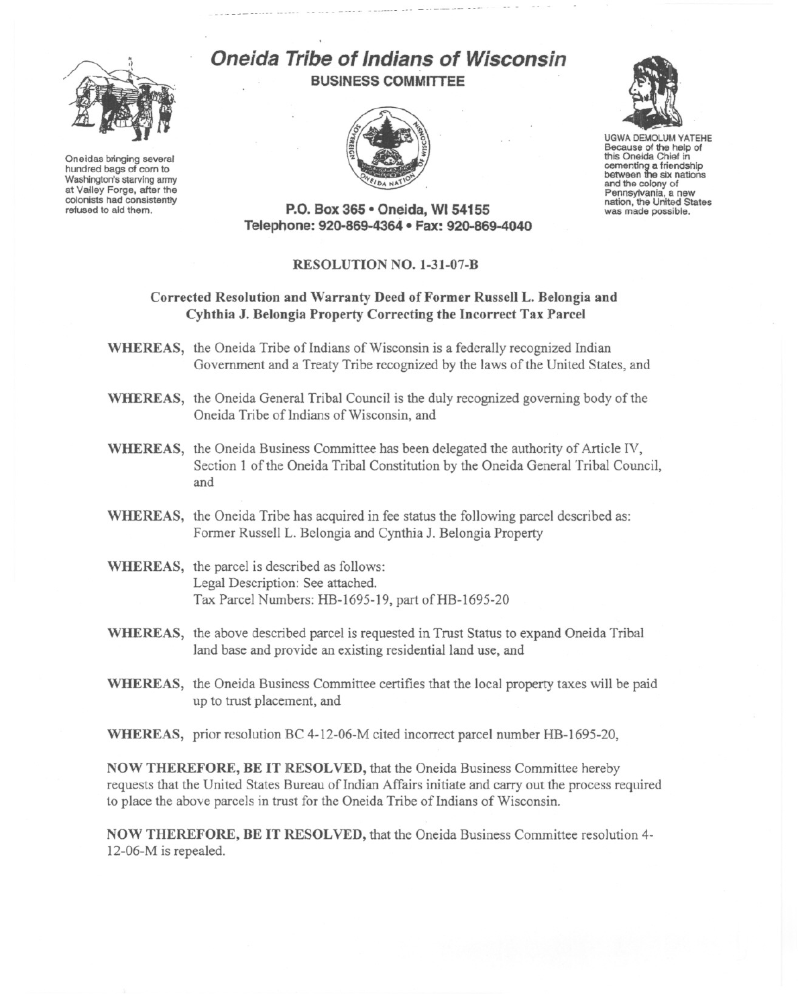

Oneidas bringing several hundred bags of corn to Washington's starving army at Valley Forge, after the colonists had consistently refused to aid them.

# **Oneida Tribe of Indians of Wisconsin BUSINESS COMMITTEE**





UGWA DEMOLUM YATEHE Because of the help of this Oneida Chief in cementing a friendship<br>between the six nations and the colony of<br>Pennsylvania, a new nation, the United States was made possible.

**P.o. Box 365· Oneida,** WI 54155 **Telephone: 920-869-4364 • Fax: 920-869-4040**

### **RESOLUTION NO. 1-31-07-B**

## **Corrected Resolution and Warranty Deed of Former Russell L. Belongia and Cyhthia J. Belongia Property Correcting the Incorrect Tax Parcel**

- **WHEREAS,** the Oneida Tribe of Indians of Wisconsin is a federally recognized Indian Government and a Treaty Tribe recognized by the laws of the United States, and
- **WHEREAS,** the Oneida General Tribal Council is the duly recognized governing body of the Oneida Tribe of Indians of Wisconsin, and
- **WHEREAS,** the Oneida Business Committee has been delegated the authority of Article IV, Section I of the Oneida Tribal Constitution by the Oneida General Tribal Council, and
- **WHEREAS,** the Oneida Tribe has acquired in fee status the following parcel described as: Former Russell L. Belongia and Cynthia 1. Belongia Property
- **WHEREAS,** the parcel is described as follows: Legal Description: See attached. Tax Parcel Numbers: HB-1695-19, part of HB-1695-20
- **WHEREAS,** the above described parcel is requested in Trust Status to expand Oneida Tribal land base and provide an existing residential land use, and
- **WHEREAS,** the Oneida Business Committee certifies that the local property taxes will be paid up to trust placement, and
- **WHEREAS,** prior resolution BC 4-12-06-M cited incorrect parcel number HB-1695-20,

**NOW THEREFORE, BE IT RESOLVED,** that the Oneida Business Committee hereby requests that the United States Bureau of Indian Affairs initiate and carry out the process required to place the above parcels in trust for the Oneida Tribe of Indians of Wisconsin.

**NOW THEREFORE, BE IT RESOLVED,** that the Oneida Business Committee resolution 4- 12-06-M is repealed.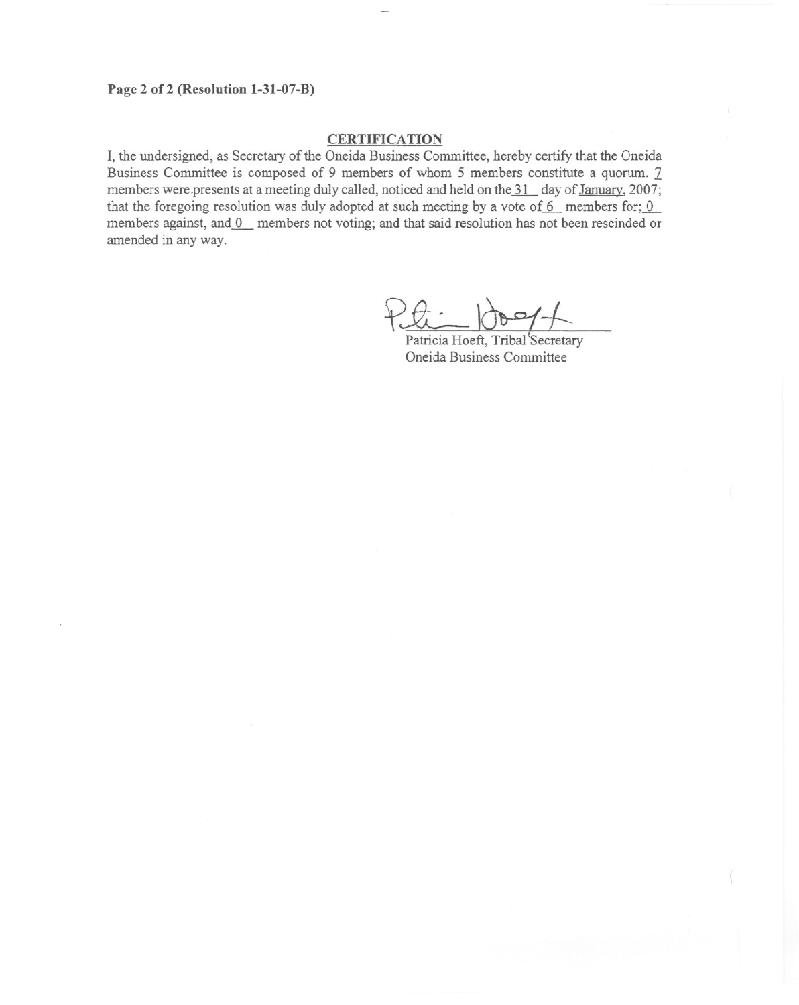## **Page 2 of2 (Resolution 1-31-07-B)**

### **CERTIFICATION**

**I,** the undersigned, as Secretary of the Oneida Business Committee, hereby certify that the Oneida Business Committee is composed of 9 members of whom 5 members constitute a quorum. 7 members were presents at a meeting duly called, noticed and held on the 31 day of January, 2007; that the foregoing resolution was duly adopted at such meeting by a vote of  $6$  members for;  $0$ members against, and 0 members not voting; and that said resolution has not been rescinded or amended in any way.

Patricia Hoeft, Tribal Secretary

Oneida Business Committee